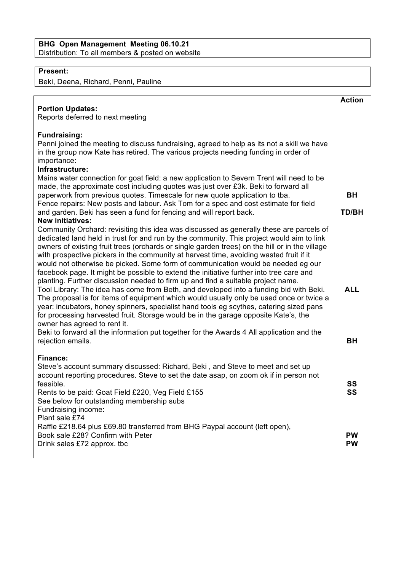## **BHG Open Management Meeting 06.10.21** Distribution: To all members & posted on website

## **Present:**

Beki, Deena, Richard, Penni, Pauline

| <b>Portion Updates:</b><br>Reports deferred to next meeting                                                                                                                                                                                                                                                                                                                                                                                                                                                                                                                                                                                                                                                                                                                                                                                                                                                                                                                                                                                                                                                                                                                  | <b>Action</b>             |
|------------------------------------------------------------------------------------------------------------------------------------------------------------------------------------------------------------------------------------------------------------------------------------------------------------------------------------------------------------------------------------------------------------------------------------------------------------------------------------------------------------------------------------------------------------------------------------------------------------------------------------------------------------------------------------------------------------------------------------------------------------------------------------------------------------------------------------------------------------------------------------------------------------------------------------------------------------------------------------------------------------------------------------------------------------------------------------------------------------------------------------------------------------------------------|---------------------------|
| <b>Fundraising:</b><br>Penni joined the meeting to discuss fundraising, agreed to help as its not a skill we have<br>in the group now Kate has retired. The various projects needing funding in order of<br>importance:<br>Infrastructure:<br>Mains water connection for goat field: a new application to Severn Trent will need to be<br>made, the approximate cost including quotes was just over £3k. Beki to forward all<br>paperwork from previous quotes. Timescale for new quote application to tba.<br>Fence repairs: New posts and labour. Ask Tom for a spec and cost estimate for field<br>and garden. Beki has seen a fund for fencing and will report back.<br><b>New initiatives:</b>                                                                                                                                                                                                                                                                                                                                                                                                                                                                          | <b>BH</b><br><b>TD/BH</b> |
| Community Orchard: revisiting this idea was discussed as generally these are parcels of<br>dedicated land held in trust for and run by the community. This project would aim to link<br>owners of existing fruit trees (orchards or single garden trees) on the hill or in the village<br>with prospective pickers in the community at harvest time, avoiding wasted fruit if it<br>would not otherwise be picked. Some form of communication would be needed eg our<br>facebook page. It might be possible to extend the initiative further into tree care and<br>planting. Further discussion needed to firm up and find a suitable project name.<br>Tool Library: The idea has come from Beth, and developed into a funding bid with Beki.<br>The proposal is for items of equipment which would usually only be used once or twice a<br>year: incubators, honey spinners, specialist hand tools eg scythes, catering sized pans<br>for processing harvested fruit. Storage would be in the garage opposite Kate's, the<br>owner has agreed to rent it.<br>Beki to forward all the information put together for the Awards 4 All application and the<br>rejection emails. | <b>ALL</b><br><b>BH</b>   |
| <b>Finance:</b><br>Steve's account summary discussed: Richard, Beki, and Steve to meet and set up<br>account reporting procedures. Steve to set the date asap, on zoom ok if in person not<br>feasible.<br>Rents to be paid: Goat Field £220, Veg Field £155<br>See below for outstanding membership subs<br>Fundraising income:<br>Plant sale £74                                                                                                                                                                                                                                                                                                                                                                                                                                                                                                                                                                                                                                                                                                                                                                                                                           | SS<br>SS                  |
| Raffle £218.64 plus £69.80 transferred from BHG Paypal account (left open),<br>Book sale £28? Confirm with Peter<br>Drink sales £72 approx. tbc                                                                                                                                                                                                                                                                                                                                                                                                                                                                                                                                                                                                                                                                                                                                                                                                                                                                                                                                                                                                                              | <b>PW</b><br><b>PW</b>    |